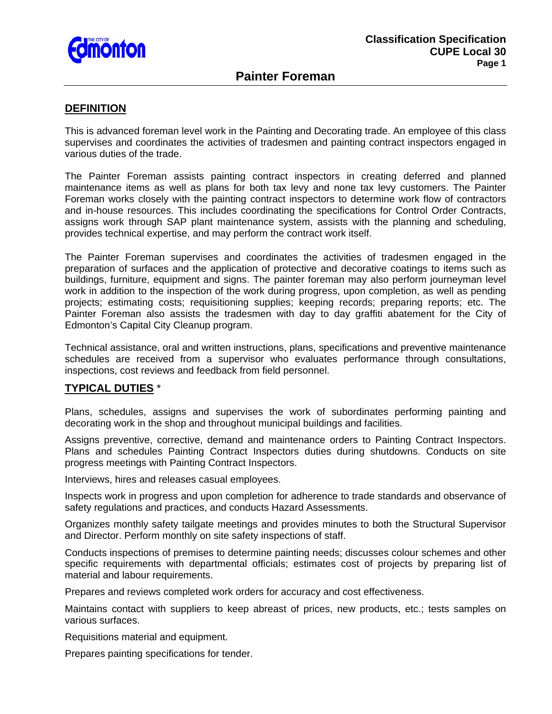

# **Painter Foreman**

#### **DEFINITION**

This is advanced foreman level work in the Painting and Decorating trade. An employee of this class supervises and coordinates the activities of tradesmen and painting contract inspectors engaged in various duties of the trade.

The Painter Foreman assists painting contract inspectors in creating deferred and planned maintenance items as well as plans for both tax levy and none tax levy customers. The Painter Foreman works closely with the painting contract inspectors to determine work flow of contractors and in-house resources. This includes coordinating the specifications for Control Order Contracts, assigns work through SAP plant maintenance system, assists with the planning and scheduling, provides technical expertise, and may perform the contract work itself.

The Painter Foreman supervises and coordinates the activities of tradesmen engaged in the preparation of surfaces and the application of protective and decorative coatings to items such as buildings, furniture, equipment and signs. The painter foreman may also perform journeyman level work in addition to the inspection of the work during progress, upon completion, as well as pending projects; estimating costs; requisitioning supplies; keeping records; preparing reports; etc. The Painter Foreman also assists the tradesmen with day to day graffiti abatement for the City of Edmonton's Capital City Cleanup program.

Technical assistance, oral and written instructions, plans, specifications and preventive maintenance schedules are received from a supervisor who evaluates performance through consultations, inspections, cost reviews and feedback from field personnel.

# **TYPICAL DUTIES** \*

Plans, schedules, assigns and supervises the work of subordinates performing painting and decorating work in the shop and throughout municipal buildings and facilities.

Assigns preventive, corrective, demand and maintenance orders to Painting Contract Inspectors. Plans and schedules Painting Contract Inspectors duties during shutdowns. Conducts on site progress meetings with Painting Contract Inspectors.

Interviews, hires and releases casual employees.

Inspects work in progress and upon completion for adherence to trade standards and observance of safety regulations and practices, and conducts Hazard Assessments.

Organizes monthly safety tailgate meetings and provides minutes to both the Structural Supervisor and Director. Perform monthly on site safety inspections of staff.

Conducts inspections of premises to determine painting needs; discusses colour schemes and other specific requirements with departmental officials; estimates cost of projects by preparing list of material and labour requirements.

Prepares and reviews completed work orders for accuracy and cost effectiveness.

Maintains contact with suppliers to keep abreast of prices, new products, etc.; tests samples on various surfaces.

Requisitions material and equipment.

Prepares painting specifications for tender.